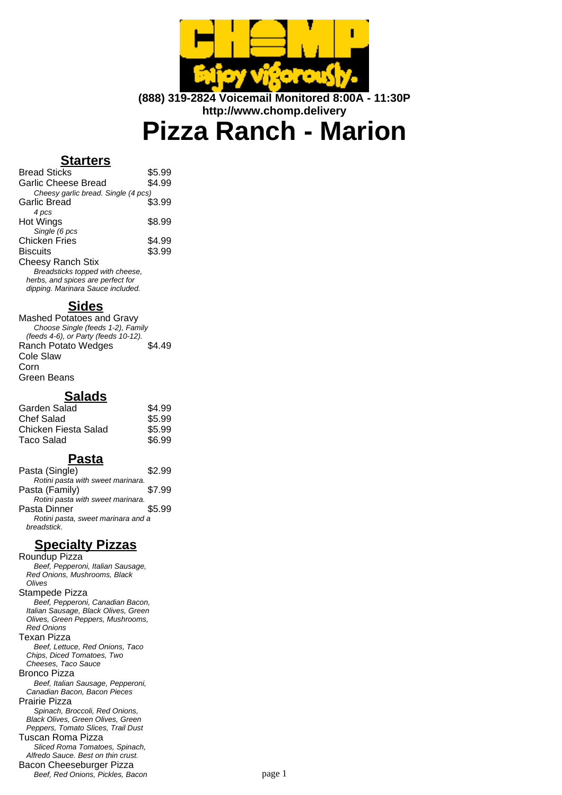

**(888) 319-2824 Voicemail Monitored 8:00A - 11:30P http://www.chomp.delivery**

**Pizza Ranch - Marion**

## **Starters**

| <b>Bread Sticks</b>                 | \$5.99 |
|-------------------------------------|--------|
| Garlic Cheese Bread                 | \$4.99 |
| Cheesy garlic bread. Single (4 pcs) |        |
| Garlic Bread                        | \$3.99 |
| 4 pcs                               |        |
| Hot Wings                           | \$8.99 |
| Single (6 pcs                       |        |
| Chicken Fries                       | \$4.99 |
| <b>Biscuits</b>                     | \$3.99 |
| <b>Cheesy Ranch Stix</b>            |        |
| Breadsticks topped with cheese,     |        |
| herbs, and spices are perfect for   |        |
| dipping. Marinara Sauce included.   |        |

### **Sides**

Mashed Potatoes and Gravy Choose Single (feeds 1-2), Family (feeds 4-6), or Party (feeds 10-12). Ranch Potato Wedges \$4.49 Cole Slaw Corn Green Beans

#### **Salads**

| Garden Salad         | \$4.99 |
|----------------------|--------|
| Chef Salad           | \$5.99 |
| Chicken Fiesta Salad | \$5.99 |
| Taco Salad           | \$6.99 |
|                      |        |

### **Pasta**

| Pasta (Single)                     | \$2.99 |
|------------------------------------|--------|
| Rotini pasta with sweet marinara.  |        |
| Pasta (Family)                     | \$7.99 |
| Rotini pasta with sweet marinara.  |        |
| Pasta Dinner                       | \$5.99 |
| Rotini pasta, sweet marinara and a |        |
| breadstick.                        |        |

# **Specialty Pizzas**

Roundup Pizza Beef, Pepperoni, Italian Sausage, Red Onions, Mushrooms, Black Olives Stampede Pizza Beef, Pepperoni, Canadian Bacon, Italian Sausage, Black Olives, Green Olives, Green Peppers, Mushrooms, Red Onions Texan Pizza Beef, Lettuce, Red Onions, Taco Chips, Diced Tomatoes, Two Cheeses, Taco Sauce Bronco Pizza Beef, Italian Sausage, Pepperoni, Canadian Bacon, Bacon Pieces Prairie Pizza Spinach, Broccoli, Red Onions, Black Olives, Green Olives, Green Peppers, Tomato Slices, Trail Dust Tuscan Roma Pizza Sliced Roma Tomatoes, Spinach, Alfredo Sauce. Best on thin crust. Bacon Cheeseburger Pizza Beef, Red Onions, Pickles, Bacon page 1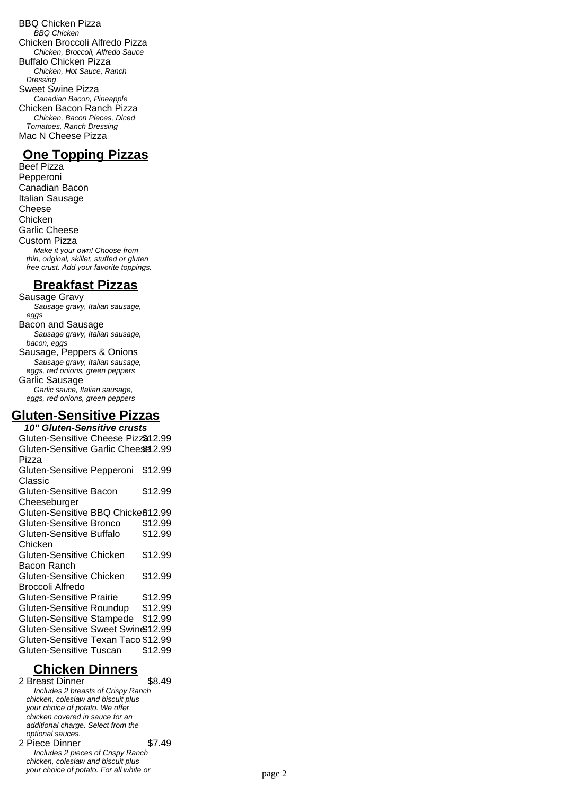BBQ Chicken Pizza BBQ Chicken Chicken Broccoli Alfredo Pizza Chicken, Broccoli, Alfredo Sauce Buffalo Chicken Pizza Chicken, Hot Sauce, Ranch Dressing Sweet Swine Pizza Canadian Bacon, Pineapple Chicken Bacon Ranch Pizza Chicken, Bacon Pieces, Diced Tomatoes, Ranch Dressing Mac N Cheese Pizza

## **One Topping Pizzas**

Beef Pizza Pepperoni Canadian Bacon Italian Sausage Cheese **Chicken** Garlic Cheese Custom Pizza Make it your own! Choose from thin, original, skillet, stuffed or gluten free crust. Add your favorite toppings.

### **Breakfast Pizzas**

Sausage Gravy Sausage gravy, Italian sausage, eggs Bacon and Sausage Sausage gravy, Italian sausage, bacon, eggs Sausage, Peppers & Onions Sausage gravy, Italian sausage, eggs, red onions, green peppers Garlic Sausage Garlic sauce, Italian sausage, eggs, red onions, green peppers

## **Gluten-Sensitive Pizzas**

**10" Gluten-Sensitive crusts** Gluten-Sensitive Cheese Pizza\$12.99 Gluten-Sensitive Garlic Cheesel 2.99 Pizza Gluten-Sensitive Pepperoni \$12.99 Classic Gluten-Sensitive Bacon Cheeseburger \$12.99 Gluten-Sensitive BBQ Chicke $$12.99$ Gluten-Sensitive Bronco \$12.99 Gluten-Sensitive Buffalo Chicken \$12.99 Gluten-Sensitive Chicken Bacon Ranch \$12.99 Gluten-Sensitive Chicken Broccoli Alfredo \$12.99 Gluten-Sensitive Prairie \$12.99 Gluten-Sensitive Roundup \$12.99 Gluten-Sensitive Stampede \$12.99 Gluten-Sensitive Sweet Swine\$12.99 Gluten-Sensitive Texan Taco \$12.99 Gluten-Sensitive Tuscan \$12.99

# **Chicken Dinners**

2 Breast Dinner \$8.49 Includes 2 breasts of Crispy Ranch chicken, coleslaw and biscuit plus your choice of potato. We offer chicken covered in sauce for an additional charge. Select from the optional sauces. 2 Piece Dinner \$7.49 Includes 2 pieces of Crispy Ranch chicken, coleslaw and biscuit plus your choice of potato. For all white or page 2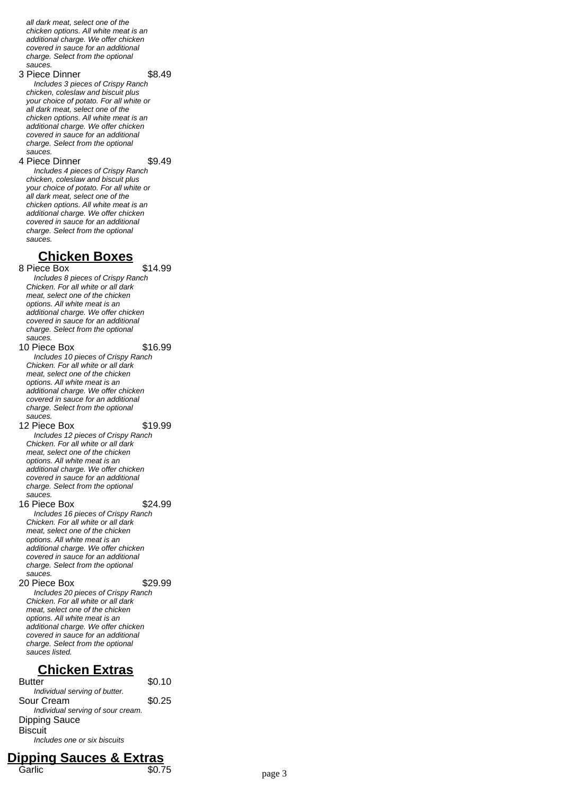all dark meat, select one of the chicken options. All white meat is an additional charge. We offer chicken covered in sauce for an additional charge. Select from the optional sauces.

3 Piece Dinner \$8.49

Includes 3 pieces of Crispy Ranch chicken, coleslaw and biscuit plus your choice of potato. For all white or all dark meat, select one of the chicken options. All white meat is an additional charge. We offer chicken covered in sauce for an additional charge. Select from the optional sauces.

4 Piece Dinner \$9.49

Includes 4 pieces of Crispy Ranch chicken, coleslaw and biscuit plus your choice of potato. For all white or all dark meat, select one of the chicken options. All white meat is an additional charge. We offer chicken covered in sauce for an additional charge. Select from the optional sauces.

#### **Chicken Boxes**

8 Piece Box \$14.99

Includes 8 pieces of Crispy Ranch Chicken. For all white or all dark meat, select one of the chicken options. All white meat is an additional charge. We offer chicken covered in sauce for an additional charge. Select from the optional sauces.

10 Piece Box \$16.99

Includes 10 pieces of Crispy Ranch Chicken. For all white or all dark meat, select one of the chicken options. All white meat is an additional charge. We offer chicken covered in sauce for an additional charge. Select from the optional sauces.

12 Piece Box \$19.99

Includes 12 pieces of Crispy Ranch Chicken. For all white or all dark meat, select one of the chicken options. All white meat is an additional charge. We offer chicken covered in sauce for an additional charge. Select from the optional sauces.

16 Piece Box \$24.99 Includes 16 pieces of Crispy Ranch Chicken. For all white or all dark

meat, select one of the chicken options. All white meat is an additional charge. We offer chicken covered in sauce for an additional charge. Select from the optional sauces.

20 Piece Box \$29.99 Includes 20 pieces of Crispy Ranch Chicken. For all white or all dark meat, select one of the chicken options. All white meat is an additional charge. We offer chicken covered in sauce for an additional charge. Select from the optional sauces listed.

## **Chicken Extras**

Butter \$0.10 Individual serving of butter. Sour Cream \$0.25 Individual serving of sour cream. Dipping Sauce **Biscuit** Includes one or six biscuits

### **Dipping Sauces & Extras** Garlic \$0.75 page 3